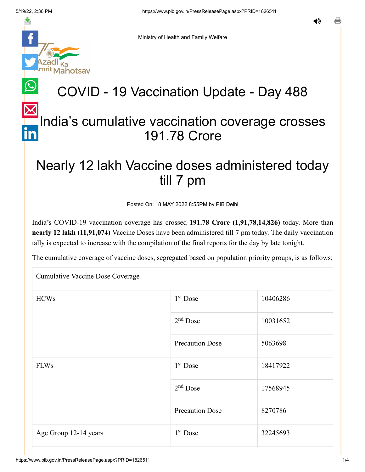

Ministry of Health and Family Welfare

## COVID - 19 Vaccination Update - Day 488

### [In](https://www.linkedin.com/shareArticle?mini=true&url=https://pib.gov.in/PressReleasePage.aspx?PRID=1826511&title=COVID%20-%2019%20Vaccination%20Update%20-%20Day%20488&summary=My%20favorite%20developer%20program&source=LinkedIn)dia's cumulative vaccination coverage crosses 191.78 Crore

### Nearly 12 lakh Vaccine doses administered today till 7 pm

Posted On: 18 MAY 2022 8:55PM by PIB Delhi

India's COVID-19 vaccination coverage has crossed **191.78 Crore (1,91,78,14,826)** today. More than **nearly 12 lakh (11,91,074)** Vaccine Doses have been administered till 7 pm today. The daily vaccination tally is expected to increase with the compilation of the final reports for the day by late tonight.

The cumulative coverage of vaccine doses, segregated based on population priority groups, is as follows:

| Cumulative Vaccine Dose Coverage |                        |          |  |  |
|----------------------------------|------------------------|----------|--|--|
| <b>HCWs</b>                      | $1st$ Dose             | 10406286 |  |  |
|                                  | $2nd$ Dose             | 10031652 |  |  |
|                                  | <b>Precaution Dose</b> | 5063698  |  |  |
| <b>FLWs</b>                      | $1st$ Dose             | 18417922 |  |  |
|                                  | $2nd$ Dose             | 17568945 |  |  |
|                                  | <b>Precaution Dose</b> | 8270786  |  |  |
| Age Group 12-14 years            | $1st$ Dose             | 32245693 |  |  |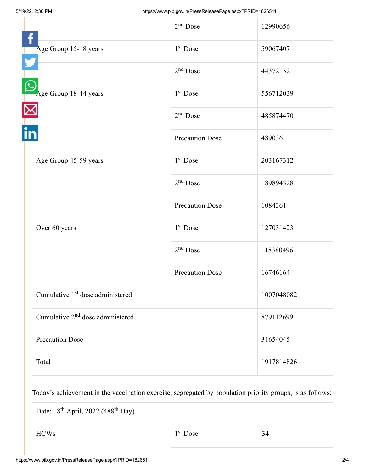|                                              | $2nd$ Dose             | 12990656   |
|----------------------------------------------|------------------------|------------|
| Age Group 15-18 years                        | $1st$ Dose             | 59067407   |
|                                              | $2nd$ Dose             | 44372152   |
| Age Group 18-44 years                        | $1st$ Dose             | 556712039  |
|                                              | $2nd$ Dose             | 485874470  |
|                                              | <b>Precaution Dose</b> | 489036     |
| Age Group 45-59 years                        | $1st$ Dose             | 203167312  |
|                                              | $2nd$ Dose             | 189894328  |
|                                              | <b>Precaution Dose</b> | 1084361    |
| Over 60 years                                | 1 <sup>st</sup> Dose   | 127031423  |
|                                              | $2nd$ Dose             | 118380496  |
|                                              | <b>Precaution Dose</b> | 16746164   |
| Cumulative 1 <sup>st</sup> dose administered |                        | 1007048082 |
| Cumulative 2 <sup>nd</sup> dose administered |                        | 879112699  |
| <b>Precaution Dose</b>                       |                        | 31654045   |
| Total                                        |                        | 1917814826 |

Today's achievement in the vaccination exercise, segregated by population priority groups, is as follows:

Date:  $18^{\text{th}}$  April, 2022 (488<sup>th</sup> Day)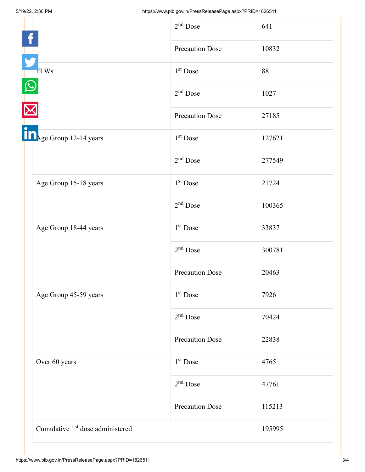|                                              | $2nd$ Dose             | 641    |
|----------------------------------------------|------------------------|--------|
|                                              | <b>Precaution Dose</b> | 10832  |
| <b>FLWs</b>                                  | $1st$ Dose             | 88     |
|                                              | $2nd$ Dose             | 1027   |
|                                              | <b>Precaution Dose</b> | 27185  |
| in <sub>Age Group 12-14 years</sub>          | 1 <sup>st</sup> Dose   | 127621 |
|                                              | $2nd$ Dose             | 277549 |
| Age Group 15-18 years                        | 1 <sup>st</sup> Dose   | 21724  |
|                                              | $2nd$ Dose             | 100365 |
| Age Group 18-44 years                        | 1 <sup>st</sup> Dose   | 33837  |
|                                              | $2nd$ Dose             | 300781 |
|                                              | <b>Precaution Dose</b> | 20463  |
| Age Group 45-59 years                        | $1st$ Dose             | 7926   |
|                                              | $2nd$ Dose             | 70424  |
|                                              | <b>Precaution Dose</b> | 22838  |
| Over 60 years                                | $1st$ Dose             | 4765   |
|                                              | $2nd$ Dose             | 47761  |
|                                              | <b>Precaution Dose</b> | 115213 |
| Cumulative 1 <sup>st</sup> dose administered |                        | 195995 |